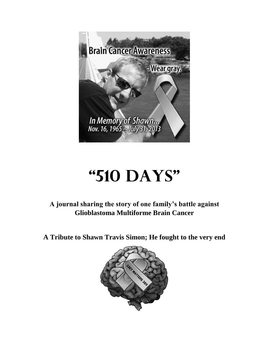

## **"510 Days"**

**A journal sharing the story of one family's battle against Glioblastoma Multiforme Brain Cancer**

**A Tribute to Shawn Travis Simon; He fought to the very end**

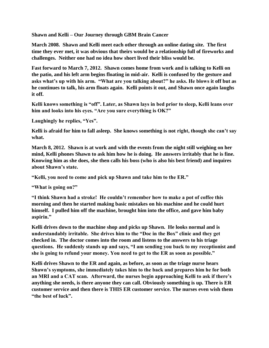**Shawn and Kelli – Our Journey through GBM Brain Cancer** 

**March 2008. Shawn and Kelli meet each other through an online dating site. The first time they ever met, it was obvious that theirs would be a relationship full of fireworks and challenges. Neither one had no idea how short lived their bliss would be.** 

**Fast forward to March 7, 2012. Shawn comes home from work and is talking to Kelli on the patio, and his left arm begins floating in mid-air. Kelli is confused by the gesture and asks what's up with his arm. "What are you talking about?" he asks. He blows it off but as he continues to talk, his arm floats again. Kelli points it out, and Shawn once again laughs it off.** 

**Kelli knows something is "off". Later, as Shawn lays in bed prior to sleep, Kelli leans over him and looks into his eyes. "Are you sure everything is OK?"** 

**Laughingly he replies, "Yes".** 

**Kelli is afraid for him to fall asleep. She knows something is not right, though she can't say what.** 

**March 8, 2012. Shawn is at work and with the events from the night still weighing on her mind, Kelli phones Shawn to ask him how he is doing. He answers irritably that he is fine. Knowing him as she does, she then calls his boss (who is also his best friend) and inquires about Shawn's state.** 

**"Kelli, you need to come and pick up Shawn and take him to the ER."** 

**"What is going on?"**

**"I think Shawn had a stroke! He couldn't remember how to make a pot of coffee this morning and then he started making basic mistakes on his machine and he could hurt himself. I pulled him off the machine, brought him into the office, and gave him baby aspirin."** 

**Kelli drives down to the machine shop and picks up Shawn. He looks normal and is understandably irritable. She drives him to the "Doc in the Box" clinic and they get checked in. The doctor comes into the room and listens to the answers to his triage questions. He suddenly stands up and says, "I am sending you back to my receptionist and she is going to refund your money. You need to get to the ER as soon as possible."** 

**Kelli drives Shawn to the ER and again, as before, as soon as the triage nurse hears Shawn's symptoms, she immediately takes him to the back and prepares him he for both an MRI and a CAT scan. Afterward, the nurses begin approaching Kelli to ask if there's anything she needs, is there anyone they can call. Obviously something is up. There is ER customer service and then there is THIS ER customer service. The nurses even wish them "the best of luck".**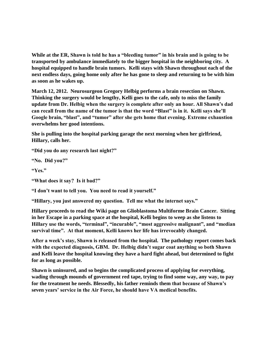**While at the ER, Shawn is told he has a "bleeding tumor" in his brain and is going to be transported by ambulance immediately to the bigger hospital in the neighboring city. A hospital equipped to handle brain tumors. Kelli stays with Shawn throughout each of the next endless days, going home only after he has gone to sleep and returning to be with him as soon as he wakes up.** 

**March 12, 2012. Neurosurgeon Gregory Helbig performs a brain resection on Shawn. Thinking the surgery would be lengthy, Kelli goes to the cafe, only to miss the family update from Dr. Helbig when the surgery is complete after only an hour. All Shawn's dad can recall from the name of the tumor is that the word "Blast" is in it. Kelli says she'll Google brain, "blast", and "tumor" after she gets home that evening. Extreme exhaustion overwhelms her good intentions.** 

**She is pulling into the hospital parking garage the next morning when her girlfriend, Hillary, calls her.** 

**"Did you do any research last night?"** 

**"No. Did you?"** 

**"Yes."** 

**"What does it say? Is it bad?"** 

**"I don't want to tell you. You need to read it yourself."** 

**"Hillary, you just answered my question. Tell me what the internet says."** 

**Hillary proceeds to read the Wiki page on Glioblastoma Multiforme Brain Cancer. Sitting in her Escape in a parking space at the hospital, Kelli begins to weep as she listens to Hillary use the words, "terminal", "incurable", "most aggressive malignant", and "median survival time". At that moment, Kelli knows her life has irrevocably changed.** 

**After a week's stay, Shawn is released from the hospital. The pathology report comes back with the expected diagnosis, GBM. Dr. Helbig didn't sugar coat anything so both Shawn and Kelli leave the hospital knowing they have a hard fight ahead, but determined to fight for as long as possible.** 

**Shawn is uninsured, and so begins the complicated process of applying for everything, wading through mounds of government red tape, trying to find some way, any way, to pay for the treatment he needs. Blessedly, his father reminds them that because of Shawn's seven years' service in the Air Force, he should have VA medical benefits.**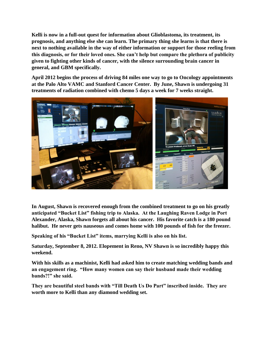**Kelli is now in a full-out quest for information about Glioblastoma, its treatment, its prognosis, and anything else she can learn. The primary thing she learns is that there is next to nothing available in the way of either information or support for those reeling from this diagnosis, or for their loved ones. She can't help but compare the plethora of publicity given to fighting other kinds of cancer, with the silence surrounding brain cancer in general, and GBM specifically.** 

**April 2012 begins the process of driving 84 miles one way to go to Oncology appointments at the Palo Alto VAMC and Stanford Cancer Center. By June, Shawn is undergoing 31 treatments of radiation combined with chemo 5 days a week for 7 weeks straight.** 



**In August, Shawn is recovered enough from the combined treatment to go on his greatly anticipated "Bucket List" fishing trip to Alaska. At the Laughing Raven Lodge in Port Alexander, Alaska, Shawn forgets all about his cancer. His favorite catch is a 180 pound halibut. He never gets nauseous and comes home with 100 pounds of fish for the freezer.** 

**Speaking of his "Bucket List" items, marrying Kelli is also on his list.** 

**Saturday, September 8, 2012. Elopement in Reno, NV Shawn is so incredibly happy this weekend.** 

**With his skills as a machinist, Kelli had asked him to create matching wedding bands and an engagement ring. "How many women can say their husband made their wedding bands?!" she said.** 

**They are beautiful steel bands with "Till Death Us Do Part" inscribed inside. They are worth more to Kelli than any diamond wedding set.**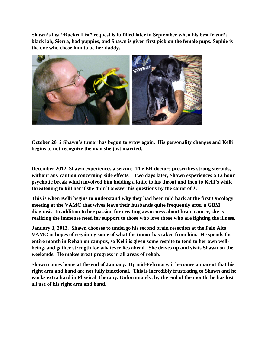**Shawn's last "Bucket List" request is fulfilled later in September when his best friend's black lab, Sierra, had puppies, and Shawn is given first pick on the female pups. Sophie is the one who chose him to be her daddy.** 



**October 2012 Shawn's tumor has begun to grow again. His personality changes and Kelli begins to not recognize the man she just married.** 

**December 2012. Shawn experiences a seizure. The ER doctors prescribes strong steroids, without any caution concerning side effects. Two days later, Shawn experiences a 12 hour psychotic break which involved him holding a knife to his throat and then to Kelli's while threatening to kill her if she didn't answer his questions by the count of 3.** 

**This is when Kelli begins to understand why they had been told back at the first Oncology meeting at the VAMC that wives leave their husbands quite frequently after a GBM diagnosis. In addition to her passion for creating awareness about brain cancer, she is realizing the immense need for support to those who love those who are fighting the illness.** 

**January 3, 2013. Shawn chooses to undergo his second brain resection at the Palo Alto VAMC in hopes of regaining some of what the tumor has taken from him. He spends the entire month in Rehab on campus, so Kelli is given some respite to tend to her own wellbeing, and gather strength for whatever lies ahead. She drives up and visits Shawn on the weekends. He makes great progress in all areas of rehab.** 

**Shawn comes home at the end of January. By mid-February, it becomes apparent that his right arm and hand are not fully functional. This is incredibly frustrating to Shawn and he works extra hard in Physical Therapy. Unfortunately, by the end of the month, he has lost all use of his right arm and hand.**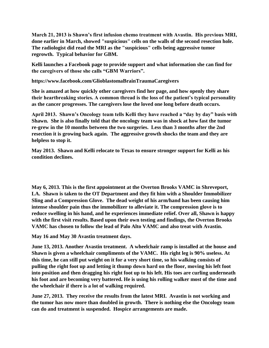**March 21, 2013 is Shawn's first infusion chemo treatment with Avastin. His previous MRI, done earlier in March, showed "suspicious" cells on the walls of the second resection hole. The radiologist did read the MRI as the "suspicious" cells being aggressive tumor regrowth. Typical behavior for GBM.** 

**Kelli launches a Facebook page to provide support and what information she can find for the caregivers of those she calls "GBM Warriors".** 

**https://www.facebook.com/GlioblastomaBrainTraumaCaregivers** 

**She is amazed at how quickly other caregivers find her page, and how openly they share their heartbreaking stories. A common thread is the loss of the patient's typical personality as the cancer progresses. The caregivers lose the loved one long before death occurs.** 

**April 2013. Shawn's Oncology team tells Kelli they have reached a "day by day" basis with Shawn. She is also finally told that the oncology team was in shock at how fast the tumor re-grew in the 10 months between the two surgeries. Less than 3 months after the 2nd resection it is growing back again. The aggressive growth shocks the team and they are helpless to stop it.** 

**May 2013. Shawn and Kelli relocate to Texas to ensure stronger support for Kelli as his condition declines.** 

**May 6, 2013. This is the first appointment at the Overton Brooks VAMC in Shreveport, LA. Shawn is taken to the OT Department and they fit him with a Shoulder Immobilizer Sling and a Compression Glove. The dead weight of his arm/hand has been causing him intense shoulder pain thus the immobilizer to alleviate it. The compression glove is to reduce swelling in his hand, and he experiences immediate relief. Over all, Shawn is happy with the first visit results. Based upon their own testing and findings, the Overton Brooks VAMC has chosen to follow the lead of Palo Alto VAMC and also treat with Avastin.** 

**May 16 and May 30 Avastin treatment days.** 

**June 13, 2013. Another Avastin treatment. A wheelchair ramp is installed at the house and Shawn is given a wheelchair compliments of the VAMC. His right leg is 90% useless. At this time, he can still put weight on it for a very short time, so his walking consists of pulling the right foot up and letting it thump down hard on the floor, moving his left foot into position and then dragging his right foot up to his left. His toes are curling underneath his foot and are becoming very battered. He is using his rolling walker most of the time and the wheelchair if there is a lot of walking required.** 

**June 27, 2013. They receive the results from the latest MRI. Avastin is not working and the tumor has now more than doubled in growth. There is nothing else the Oncology team can do and treatment is suspended. Hospice arrangements are made.**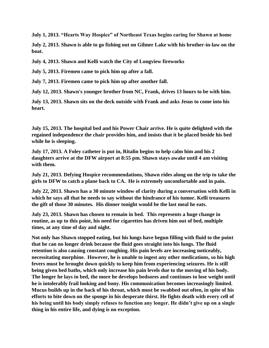**July 1, 2013. "Hearts Way Hospice" of Northeast Texas begins caring for Shawn at home** 

**July 2, 2013. Shawn is able to go fishing out on Gilmer Lake with his brother-in-law on the boat.** 

**July 4, 2013. Shawn and Kelli watch the City of Longview fireworks** 

**July 5, 2013. Firemen came to pick him up after a fall.** 

**July 7, 2013. Firemen came to pick him up after another fall.** 

**July 12, 2013. Shawn's younger brother from NC, Frank, drives 13 hours to be with him.** 

**July 13, 2013. Shawn sits on the deck outside with Frank and asks Jesus to come into his heart.**

**July 15, 2013. The hospital bed and his Power Chair arrive. He is quite delighted with the regained independence the chair provides him, and insists that it be placed beside his bed while he is sleeping.** 

**July 17, 2013. A Foley catheter is put in, Ritalin begins to help calm him and his 2 daughters arrive at the DFW airport at 8:55 pm. Shawn stays awake until 4 am visiting with them.** 

**July 21, 2013. Defying Hospice recommendations, Shawn rides along on the trip to take the girls to DFW to catch a plane back to CA. He is extremely uncomfortable and in pain.** 

**July 22, 2013. Shawn has a 30 minute window of clarity during a conversation with Kelli in which he says all that he needs to say without the hindrance of his tumor. Kelli treasures the gift of those 30 minutes. His dinner tonight would be the last meal he eats.** 

**July 23, 2013. Shawn has chosen to remain in bed. This represents a huge change in routine, as up to this point, his need for cigarettes has driven him out of bed, multiple times, at any time of day and night.** 

**Not only has Shawn stopped eating, but his lungs have begun filling with fluid to the point that he can no longer drink because the fluid goes straight into his lungs. The fluid retention is also causing constant coughing. His pain levels are increasing noticeably, necessitating morphine. However, he is unable to ingest any other medications, so his high fevers must be brought down quickly to keep him from experiencing seizures. He is still being given bed baths, which only increase his pain levels due to the moving of his body. The longer he lays in bed, the more he develops bedsores and continues to lose weight until he is intolerably frail looking and bony. His communication becomes increasingly limited. Mucus builds up in the back of his throat, which must be swabbed out often, in spite of his efforts to bite down on the sponge in his desperate thirst. He fights death with every cell of his being until his body simply refuses to function any longer. He didn't give up on a single thing in his entire life, and dying is no exception.**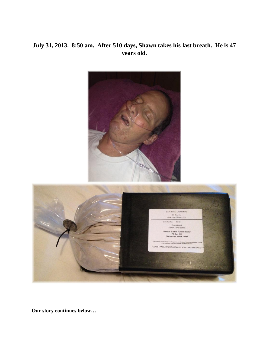## **July 31, 2013. 8:50 am. After 510 days, Shawn takes his last breath. He is 47 years old.**



**Our story continues below…**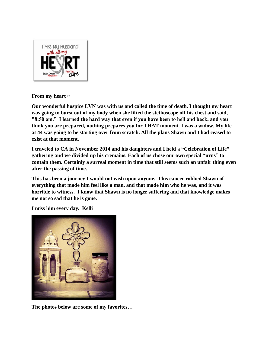

**From my heart ~** 

**Our wonderful hospice LVN was with us and called the time of death. I thought my heart was going to burst out of my body when she lifted the stethoscope off his chest and said, "8:50 am." I learned the hard way that even if you have been to hell and back, and you think you are prepared, nothing prepares you for THAT moment. I was a widow. My life at 44 was going to be starting over from scratch. All the plans Shawn and I had ceased to exist at that moment.** 

**I traveled to CA in November 2014 and his daughters and I held a "Celebration of Life" gathering and we divided up his cremains. Each of us chose our own special "urns" to contain them. Certainly a surreal moment in time that still seems such an unfair thing even after the passing of time.**

**This has been a journey I would not wish upon anyone. This cancer robbed Shawn of everything that made him feel like a man, and that made him who he was, and it was horrible to witness. I know that Shawn is no longer suffering and that knowledge makes me not so sad that he is gone.** 

**I miss him every day. Kelli**



**The photos below are some of my favorites…**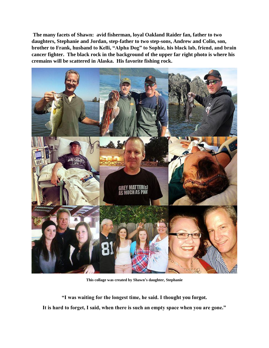**The many facets of Shawn: avid fisherman, loyal Oakland Raider fan, father to two daughters, Stephanie and Jordan, step-father to two step-sons, Andrew and Colin, son, brother to Frank, husband to Kelli, "Alpha Dog" to Sophie, his black lab, friend, and brain cancer fighter. The black rock in the background of the upper far right photo is where his cremains will be scattered in Alaska. His favorite fishing rock.**



**This collage was created by Shawn's daughter, Stephanie**

**"I was waiting for the longest time, he said. I thought you forgot. It is hard to forget, I said, when there is such an empty space when you are gone."**